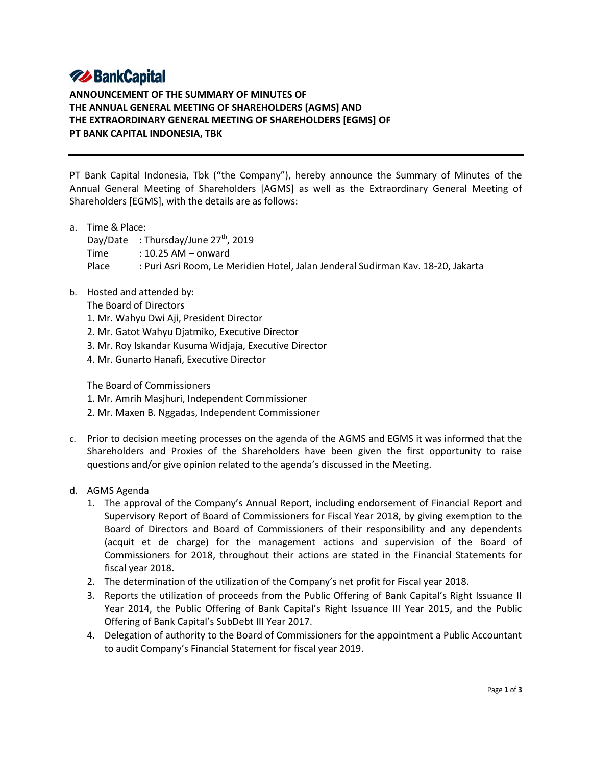# **74 BankCapital**

**ANNOUNCEMENT OF THE SUMMARY OF MINUTES OF THE ANNUAL GENERAL MEETING OF SHAREHOLDERS [AGMS] AND THE EXTRAORDINARY GENERAL MEETING OF SHAREHOLDERS [EGMS] OF PT BANK CAPITAL INDONESIA, TBK**

PT Bank Capital Indonesia, Tbk ("the Company"), hereby announce the Summary of Minutes of the Annual General Meeting of Shareholders [AGMS] as well as the Extraordinary General Meeting of Shareholders [EGMS], with the details are as follows:

a. Time & Place:

Day/Date : Thursday/June  $27<sup>th</sup>$ , 2019 Time : 10.25 AM – onward Place : Puri Asri Room, Le Meridien Hotel, Jalan Jenderal Sudirman Kav. 18-20, Jakarta

b. Hosted and attended by:

The Board of Directors

- 1. Mr. Wahyu Dwi Aji, President Director
- 2. Mr. Gatot Wahyu Djatmiko, Executive Director
- 3. Mr. Roy Iskandar Kusuma Widjaja, Executive Director
- 4. Mr. Gunarto Hanafi, Executive Director

The Board of Commissioners

- 1. Mr. Amrih Masjhuri, Independent Commissioner
- 2. Mr. Maxen B. Nggadas, Independent Commissioner
- c. Prior to decision meeting processes on the agenda of the AGMS and EGMS it was informed that the Shareholders and Proxies of the Shareholders have been given the first opportunity to raise questions and/or give opinion related to the agenda's discussed in the Meeting.
- d. AGMS Agenda
	- 1. The approval of the Company's Annual Report, including endorsement of Financial Report and Supervisory Report of Board of Commissioners for Fiscal Year 2018, by giving exemption to the Board of Directors and Board of Commissioners of their responsibility and any dependents (acquit et de charge) for the management actions and supervision of the Board of Commissioners for 2018, throughout their actions are stated in the Financial Statements for fiscal year 2018.
	- 2. The determination of the utilization of the Company's net profit for Fiscal year 2018.
	- 3. Reports the utilization of proceeds from the Public Offering of Bank Capital's Right Issuance II Year 2014, the Public Offering of Bank Capital's Right Issuance III Year 2015, and the Public Offering of Bank Capital's SubDebt III Year 2017.
	- 4. Delegation of authority to the Board of Commissioners for the appointment a Public Accountant to audit Company's Financial Statement for fiscal year 2019.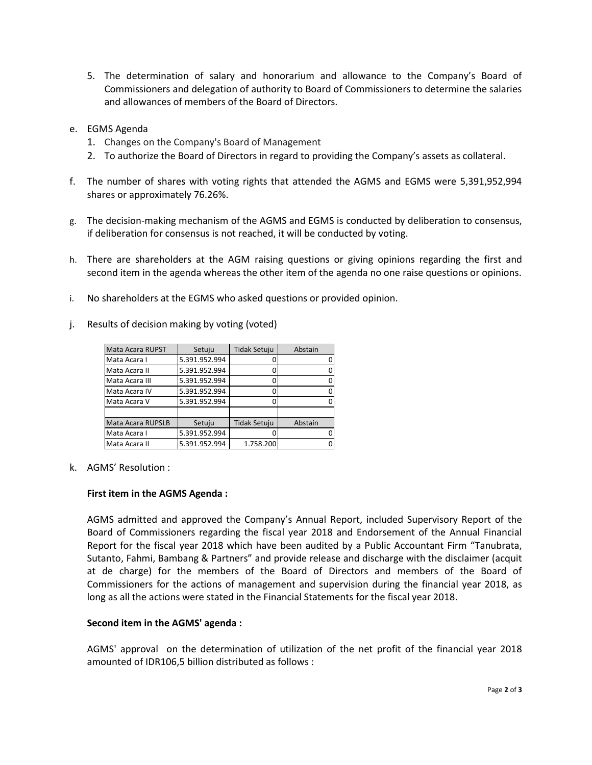- 5. The determination of salary and honorarium and allowance to the Company's Board of Commissioners and delegation of authority to Board of Commissioners to determine the salaries and allowances of members of the Board of Directors.
- e. EGMS Agenda
	- 1. Changes on the Company's Board of Management
	- 2. To authorize the Board of Directors in regard to providing the Company's assets as collateral.
- f. The number of shares with voting rights that attended the AGMS and EGMS were 5,391,952,994 shares or approximately 76.26%.
- g. The decision-making mechanism of the AGMS and EGMS is conducted by deliberation to consensus, if deliberation for consensus is not reached, it will be conducted by voting.
- h. There are shareholders at the AGM raising questions or giving opinions regarding the first and second item in the agenda whereas the other item of the agenda no one raise questions or opinions.
- i. No shareholders at the EGMS who asked questions or provided opinion.
- j. Results of decision making by voting (voted)

| Mata Acara RUPST  | Setuju        | <b>Tidak Setuju</b> | Abstain |
|-------------------|---------------|---------------------|---------|
| Mata Acara I      | 5.391.952.994 |                     |         |
| Mata Acara II     | 5.391.952.994 |                     |         |
| Mata Acara III    | 5.391.952.994 |                     |         |
| Mata Acara IV     | 5.391.952.994 |                     |         |
| Mata Acara V      | 5.391.952.994 |                     |         |
|                   |               |                     |         |
| Mata Acara RUPSLB | Setuju        | <b>Tidak Setuju</b> | Abstain |
| Mata Acara I      | 5.391.952.994 |                     |         |
| Mata Acara II     | 5.391.952.994 | 1.758.200           |         |

k. AGMS' Resolution :

#### **First item in the AGMS Agenda :**

AGMS admitted and approved the Company's Annual Report, included Supervisory Report of the Board of Commissioners regarding the fiscal year 2018 and Endorsement of the Annual Financial Report for the fiscal year 2018 which have been audited by a Public Accountant Firm "Tanubrata, Sutanto, Fahmi, Bambang & Partners" and provide release and discharge with the disclaimer (acquit at de charge) for the members of the Board of Directors and members of the Board of Commissioners for the actions of management and supervision during the financial year 2018, as long as all the actions were stated in the Financial Statements for the fiscal year 2018.

#### **Second item in the AGMS' agenda :**

AGMS' approval on the determination of utilization of the net profit of the financial year 2018 amounted of IDR106,5 billion distributed as follows :